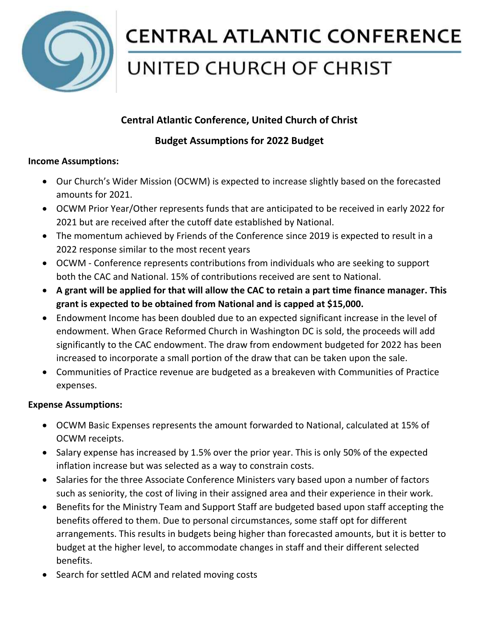

# **CENTRAL ATLANTIC CONFERENCE**

## UNITED CHURCH OF CHRIST

## **Central Atlantic Conference, United Church of Christ**

### **Budget Assumptions for 2022 Budget**

#### **Income Assumptions:**

- Our Church's Wider Mission (OCWM) is expected to increase slightly based on the forecasted amounts for 2021.
- OCWM Prior Year/Other represents funds that are anticipated to be received in early 2022 for 2021 but are received after the cutoff date established by National.
- The momentum achieved by Friends of the Conference since 2019 is expected to result in a 2022 response similar to the most recent years
- OCWM Conference represents contributions from individuals who are seeking to support both the CAC and National. 15% of contributions received are sent to National.
- **A grant will be applied for that will allow the CAC to retain a part time finance manager. This grant is expected to be obtained from National and is capped at \$15,000.**
- Endowment Income has been doubled due to an expected significant increase in the level of endowment. When Grace Reformed Church in Washington DC is sold, the proceeds will add significantly to the CAC endowment. The draw from endowment budgeted for 2022 has been increased to incorporate a small portion of the draw that can be taken upon the sale.
- Communities of Practice revenue are budgeted as a breakeven with Communities of Practice expenses.

#### **Expense Assumptions:**

- OCWM Basic Expenses represents the amount forwarded to National, calculated at 15% of OCWM receipts.
- Salary expense has increased by 1.5% over the prior year. This is only 50% of the expected inflation increase but was selected as a way to constrain costs.
- Salaries for the three Associate Conference Ministers vary based upon a number of factors such as seniority, the cost of living in their assigned area and their experience in their work.
- Benefits for the Ministry Team and Support Staff are budgeted based upon staff accepting the benefits offered to them. Due to personal circumstances, some staff opt for different arrangements. This results in budgets being higher than forecasted amounts, but it is better to budget at the higher level, to accommodate changes in staff and their different selected benefits.
- Search for settled ACM and related moving costs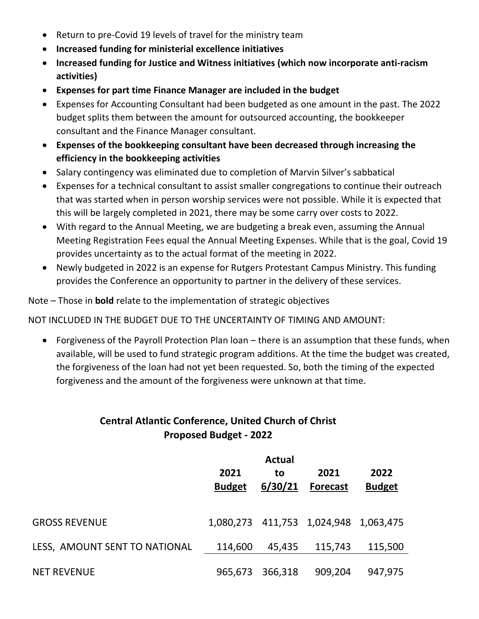- Return to pre-Covid 19 levels of travel for the ministry team
- **Increased funding for ministerial excellence initiatives**
- **Increased funding for Justice and Witness initiatives (which now incorporate anti-racism activities)**
- **Expenses for part time Finance Manager are included in the budget**
- Expenses for Accounting Consultant had been budgeted as one amount in the past. The 2022 budget splits them between the amount for outsourced accounting, the bookkeeper consultant and the Finance Manager consultant.
- **Expenses of the bookkeeping consultant have been decreased through increasing the efficiency in the bookkeeping activities**
- Salary contingency was eliminated due to completion of Marvin Silver's sabbatical
- Expenses for a technical consultant to assist smaller congregations to continue their outreach that was started when in person worship services were not possible. While it is expected that this will be largely completed in 2021, there may be some carry over costs to 2022.
- With regard to the Annual Meeting, we are budgeting a break even, assuming the Annual Meeting Registration Fees equal the Annual Meeting Expenses. While that is the goal, Covid 19 provides uncertainty as to the actual format of the meeting in 2022.
- Newly budgeted in 2022 is an expense for Rutgers Protestant Campus Ministry. This funding provides the Conference an opportunity to partner in the delivery of these services.

Note – Those in **bold** relate to the implementation of strategic objectives

NOT INCLUDED IN THE BUDGET DUE TO THE UNCERTAINTY OF TIMING AND AMOUNT:

 Forgiveness of the Payroll Protection Plan loan – there is an assumption that these funds, when available, will be used to fund strategic program additions. At the time the budget was created, the forgiveness of the loan had not yet been requested. So, both the timing of the expected forgiveness and the amount of the forgiveness were unknown at that time.

### **Central Atlantic Conference, United Church of Christ Proposed Budget - 2022**

|                               | 2021<br><b>Budget</b> | <b>Actual</b><br>to<br>6/30/21 | 2021<br><b>Forecast</b>               | 2022<br><b>Budget</b> |
|-------------------------------|-----------------------|--------------------------------|---------------------------------------|-----------------------|
| <b>GROSS REVENUE</b>          |                       |                                | 1,080,273 411,753 1,024,948 1,063,475 |                       |
| LESS, AMOUNT SENT TO NATIONAL | 114,600               | 45,435                         | 115,743                               | 115,500               |
| <b>NET REVENUE</b>            | 965,673               | 366,318                        | 909,204                               | 947,975               |